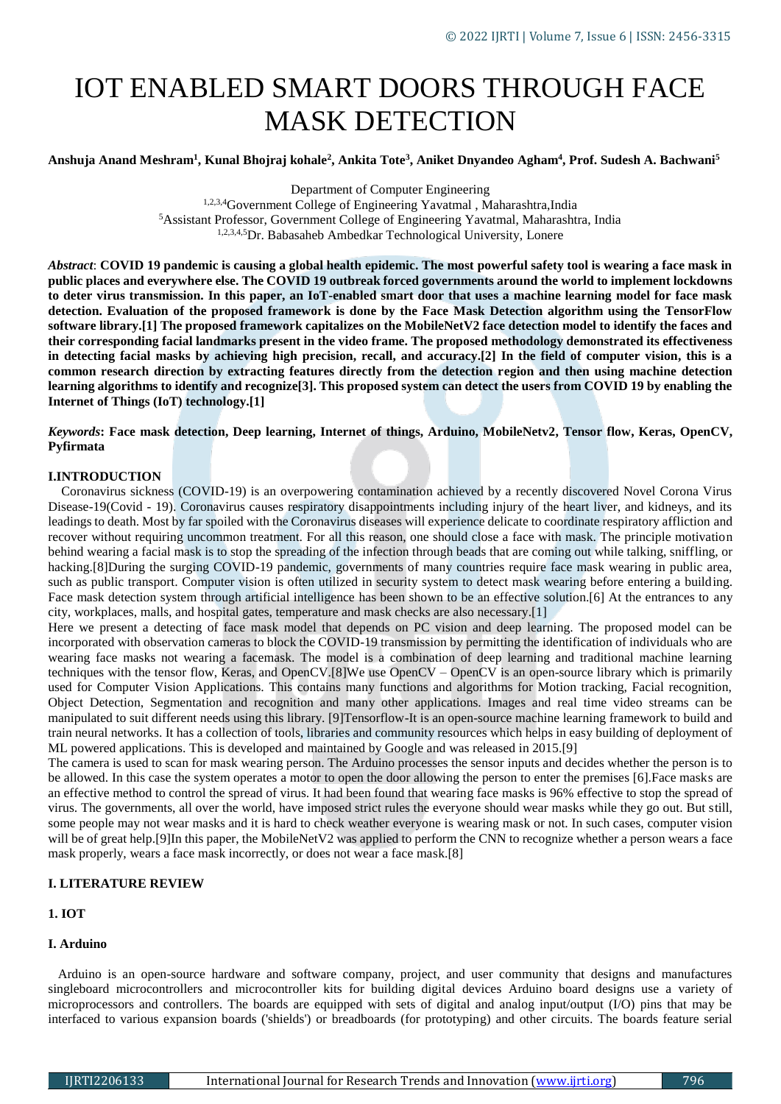# IOT ENABLED SMART DOORS THROUGH FACE MASK DETECTION

**Anshuja Anand Meshram<sup>1</sup> , Kunal Bhojraj kohale<sup>2</sup> , Ankita Tote<sup>3</sup> , Aniket Dnyandeo Agham<sup>4</sup> , Prof. Sudesh A. Bachwani<sup>5</sup>**

Department of Computer Engineering

1,2,3,4Government College of Engineering Yavatmal , Maharashtra,India <sup>5</sup>Assistant Professor, Government College of Engineering Yavatmal, Maharashtra, India

1,2,3,4,5Dr. Babasaheb Ambedkar Technological University, Lonere

*Abstract*: **COVID 19 pandemic is causing a global health epidemic. The most powerful safety tool is wearing a face mask in public places and everywhere else. The COVID 19 outbreak forced governments around the world to implement lockdowns to deter virus transmission. In this paper, an IoT-enabled smart door that uses a machine learning model for face mask detection. Evaluation of the proposed framework is done by the Face Mask Detection algorithm using the TensorFlow software library.[1] The proposed framework capitalizes on the MobileNetV2 face detection model to identify the faces and their corresponding facial landmarks present in the video frame. The proposed methodology demonstrated its effectiveness in detecting facial masks by achieving high precision, recall, and accuracy.[2] In the field of computer vision, this is a common research direction by extracting features directly from the detection region and then using machine detection learning algorithms to identify and recognize[3]. This proposed system can detect the users from COVID 19 by enabling the Internet of Things (IoT) technology.[1]**

# *Keywords***: Face mask detection, Deep learning, Internet of things, Arduino, MobileNetv2, Tensor flow, Keras, OpenCV, Pyfirmata**

## **I.INTRODUCTION**

 Coronavirus sickness (COVID-19) is an overpowering contamination achieved by a recently discovered Novel Corona Virus Disease-19(Covid - 19). Coronavirus causes respiratory disappointments including injury of the heart liver, and kidneys, and its leadings to death. Most by far spoiled with the Coronavirus diseases will experience delicate to coordinate respiratory affliction and recover without requiring uncommon treatment. For all this reason, one should close a face with mask. The principle motivation behind wearing a facial mask is to stop the spreading of the infection through beads that are coming out while talking, sniffling, or hacking.[8]During the surging COVID-19 pandemic, governments of many countries require face mask wearing in public area, such as public transport. Computer vision is often utilized in security system to detect mask wearing before entering a building. Face mask detection system through artificial intelligence has been shown to be an effective solution.[6] At the entrances to any city, workplaces, malls, and hospital gates, temperature and mask checks are also necessary.[1]

Here we present a detecting of face mask model that depends on PC vision and deep learning. The proposed model can be incorporated with observation cameras to block the COVID-19 transmission by permitting the identification of individuals who are wearing face masks not wearing a facemask. The model is a combination of deep learning and traditional machine learning techniques with the tensor flow, Keras, and OpenCV.[8]We use OpenCV – OpenCV is an open-source library which is primarily used for Computer Vision Applications. This contains many functions and algorithms for Motion tracking, Facial recognition, Object Detection, Segmentation and recognition and many other applications. Images and real time video streams can be manipulated to suit different needs using this library. [9]Tensorflow-It is an open-source machine learning framework to build and train neural networks. It has a collection of tools, libraries and community resources which helps in easy building of deployment of ML powered applications. This is developed and maintained by Google and was released in 2015.[9]

The camera is used to scan for mask wearing person. The Arduino processes the sensor inputs and decides whether the person is to be allowed. In this case the system operates a motor to open the door allowing the person to enter the premises [6].Face masks are an effective method to control the spread of virus. It had been found that wearing face masks is 96% effective to stop the spread of virus. The governments, all over the world, have imposed strict rules the everyone should wear masks while they go out. But still, some people may not wear masks and it is hard to check weather everyone is wearing mask or not. In such cases, computer vision will be of great help.[9]In this paper, the MobileNetV2 was applied to perform the CNN to recognize whether a person wears a face mask properly, wears a face mask incorrectly, or does not wear a face mask.[8]

# **I. LITERATURE REVIEW**

# **1. IOT**

#### **I. Arduino**

Arduino is an open-source hardware and software company, project, and user community that designs and manufactures singleboard microcontrollers and microcontroller kits for building digital devices Arduino board designs use a variety of microprocessors and controllers. The boards are equipped with sets of digital and analog input/output (I/O) pins that may be interfaced to various expansion boards ('shields') or breadboards (for prototyping) and other circuits. The boards feature serial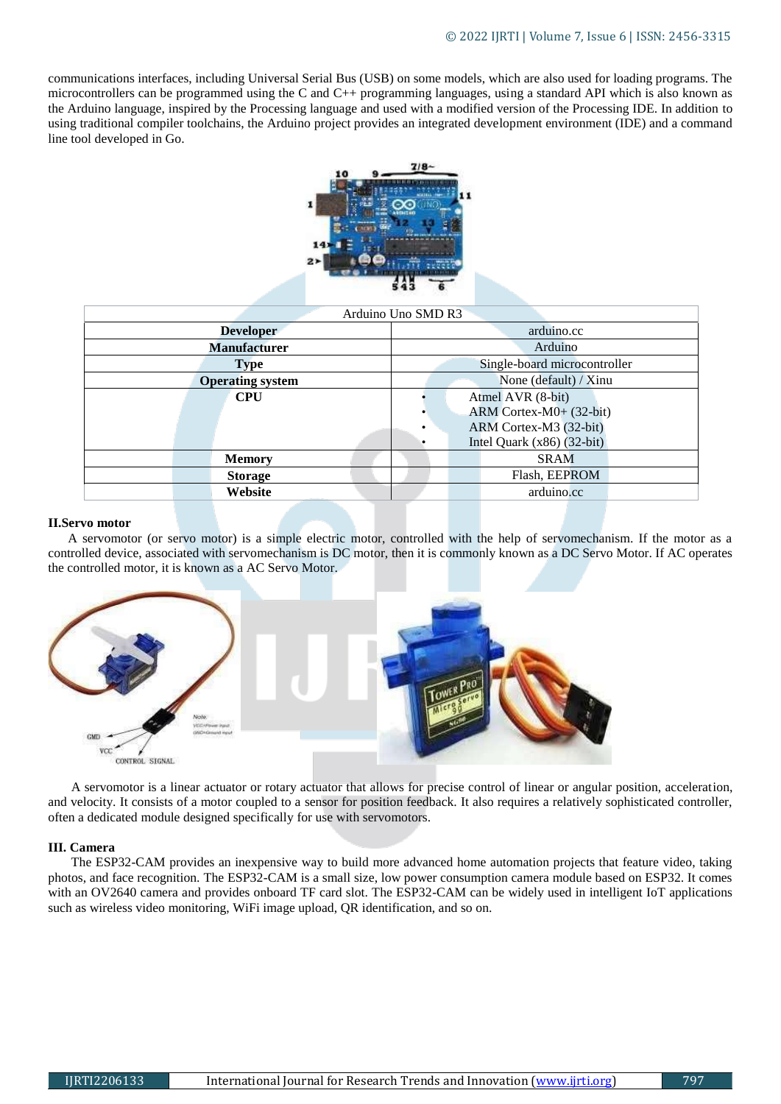communications interfaces, including Universal Serial Bus (USB) on some models, which are also used for loading programs. The microcontrollers can be programmed using the C and C++ programming languages, using a standard API which is also known as the Arduino language, inspired by the Processing language and used with a modified version of the Processing IDE. In addition to using traditional compiler toolchains, the Arduino project provides an integrated development environment (IDE) and a command line tool developed in Go.



| Arduino Uno SMD R3      |                              |  |  |  |  |  |  |  |  |
|-------------------------|------------------------------|--|--|--|--|--|--|--|--|
| <b>Developer</b>        | arduino.cc                   |  |  |  |  |  |  |  |  |
| <b>Manufacturer</b>     | Arduino                      |  |  |  |  |  |  |  |  |
| <b>Type</b>             | Single-board microcontroller |  |  |  |  |  |  |  |  |
| <b>Operating system</b> | None (default) / Xinu        |  |  |  |  |  |  |  |  |
| <b>CPU</b>              | Atmel AVR (8-bit)            |  |  |  |  |  |  |  |  |
|                         | ARM Cortex-M0+ (32-bit)      |  |  |  |  |  |  |  |  |
|                         | ARM Cortex-M3 (32-bit)       |  |  |  |  |  |  |  |  |
|                         | Intel Quark $(x86)$ (32-bit) |  |  |  |  |  |  |  |  |
| <b>Memory</b>           | <b>SRAM</b>                  |  |  |  |  |  |  |  |  |
| <b>Storage</b>          | Flash, EEPROM                |  |  |  |  |  |  |  |  |
| Website                 | arduino.cc                   |  |  |  |  |  |  |  |  |
|                         |                              |  |  |  |  |  |  |  |  |

#### **II.Servo motor**

 A servomotor (or servo motor) is a simple electric motor, controlled with the help of servomechanism. If the motor as a controlled device, associated with servomechanism is [DC motor,](https://www.electrical4u.com/dc-motor-or-direct-current-motor/) then it is commonly known as a DC Servo Motor. If AC operates the controlled motor, it is known as a AC Servo Motor.



A servomotor is a linear actuator or rotary actuator that allows for precise control of linear or angular position, acceleration, and velocity. It consists of a motor coupled to a [sensor](https://www.electrical4u.com/sensor-types-of-sensor/) [f](https://www.electrical4u.com/sensor-types-of-sensor/)or position feedback. It also requires a relatively sophisticated controller, often a dedicated module designed specifically for use with servomotors.

#### **III. Camera**

The ESP32-CAM provides an inexpensive way to build more advanced home automation projects that feature video, taking photos, and face recognition. The ESP32-CAM is a small size, low power consumption camera module based on ESP32. It comes with an OV2640 camera and provides onboard TF card slot. The ESP32-CAM can be widely used in intelligent IoT applications such as wireless video monitoring, WiFi image upload, QR identification, and so on.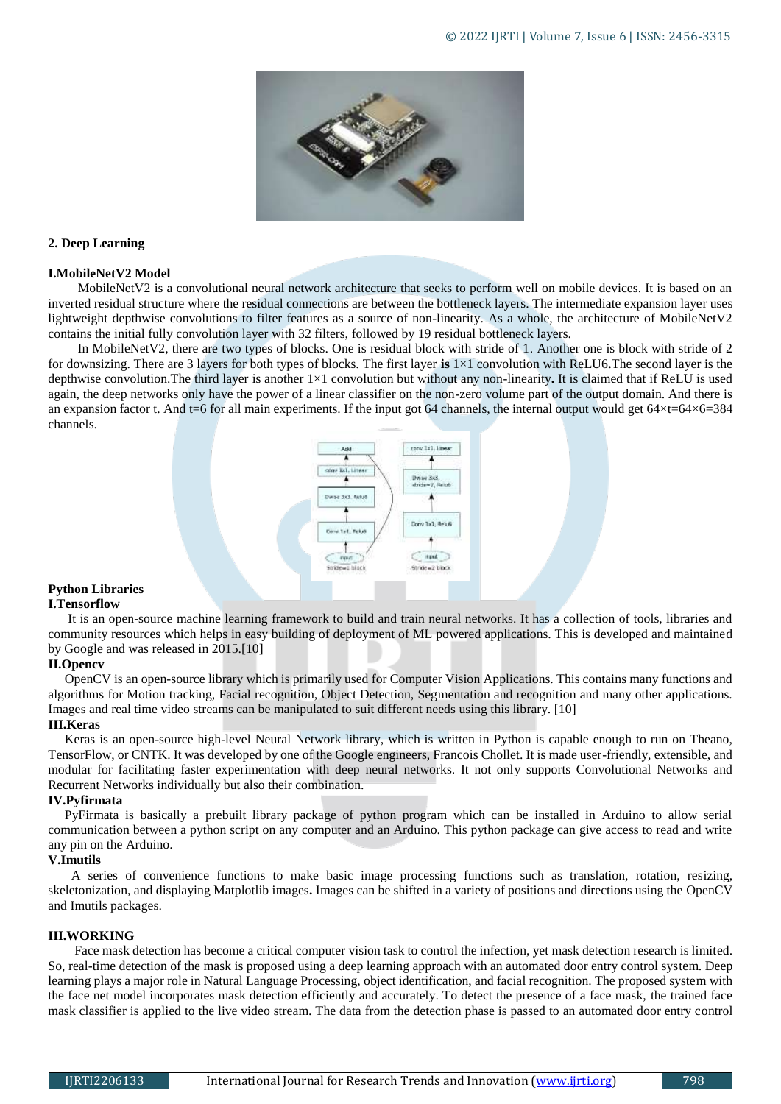

#### **2. Deep Learning**

#### **I.MobileNetV2 Model**

MobileNetV2 is a convolutional neural network architecture that seeks to perform well on mobile devices. It is based on an inverted residual structure where the residual connections are between the bottleneck layers. The intermediate expansion layer uses lightweight depthwise convolutions to filter features as a source of non-linearity. As a whole, the architecture of MobileNetV2 contains the initial fully [convolution](https://paperswithcode.com/method/convolution) [l](https://paperswithcode.com/method/convolution)ayer with 32 filters, followed by 19 residual bottleneck layers.

 In MobileNetV2, there are two types of blocks. One is residual block with stride of 1. Another one is block with stride of 2 for downsizing. There are 3 layers for both types of blocks. The first layer **is** 1×1 convolution with ReLU6**.**The second layer is the depthwise convolution.The third layer is another 1×1 convolution but without any non-linearity**.** It is claimed that if ReLU is used again, the deep networks only have the power of a linear classifier on the non-zero volume part of the output domain. And there is an expansion factor t. And t=6 for all main experiments. If the input got 64 channels, the internal output would get  $64 \times t=64 \times 6=384$ channels.



#### **Python Libraries I.Tensorflow**

 It is an open-source machine learning framework to build and train neural networks. It has a collection of tools, libraries and community resources which helps in easy building of deployment of ML powered applications. This is developed and maintained by Google and was released in 2015.[10]

#### **II.Opencv**

 OpenCV is an open-source library which is primarily used for Computer Vision Applications. This contains many functions and algorithms for Motion tracking, Facial recognition, Object Detection, Segmentation and recognition and many other applications. Images and real time video streams can be manipulated to suit different needs using this library. [10]

# **III.Keras**

 Keras is an open-source high-level Neural Network library, which is written in Python is capable enough to run on Theano, TensorFlow, or CNTK. It was developed by one of the Google engineers, Francois Chollet. It is made user-friendly, extensible, and modular for facilitating faster experimentation with deep neural networks. It not only supports Convolutional Networks and Recurrent Networks individually but also their combination.

#### **IV.Pyfirmata**

 PyFirmata is basically a prebuilt library package of python program which can be installed in Arduino to allow serial communication between a python script on any computer and an Arduino. This python package can give access to read and write any pin on the Arduino.

#### **V.Imutils**

 A series of convenience functions to make basic image processing functions such as translation, rotation, resizing, skeletonization, and displaying Matplotlib images**.** Images can be shifted in a variety of positions and directions using the OpenCV and Imutils packages.

#### **III.WORKING**

 Face mask detection has become a critical computer vision task to control the infection, yet mask detection research is limited. So, real-time detection of the mask is proposed using a deep learning approach with an automated door entry control system. Deep learning plays a major role in Natural Language Processing, object identification, and facial recognition. The proposed system with the face net model incorporates mask detection efficiently and accurately. To detect the presence of a face mask, the trained face mask classifier is applied to the live video stream. The data from the detection phase is passed to an automated door entry control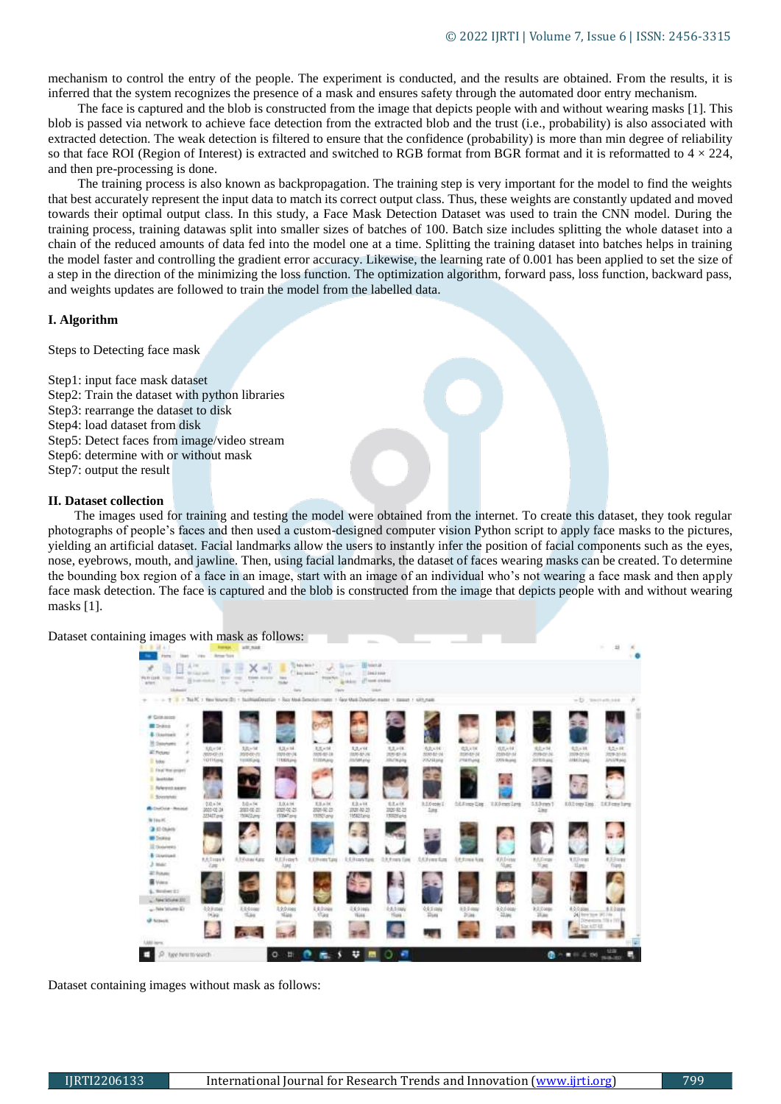mechanism to control the entry of the people. The experiment is conducted, and the results are obtained. From the results, it is inferred that the system recognizes the presence of a mask and ensures safety through the automated door entry mechanism.

 The face is captured and the blob is constructed from the image that depicts people with and without wearing masks [1]. This blob is passed via network to achieve face detection from the extracted blob and the trust (i.e., probability) is also associated with extracted detection. The weak detection is filtered to ensure that the confidence (probability) is more than min degree of reliability so that face ROI (Region of Interest) is extracted and switched to RGB format from BGR format and it is reformatted to  $4 \times 224$ , and then pre-processing is done.

 The training process is also known as backpropagation. The training step is very important for the model to find the weights that best accurately represent the input data to match its correct output class. Thus, these weights are constantly updated and moved towards their optimal output class. In this study, a Face Mask Detection Dataset was used to train the CNN model. During the training process, training datawas split into smaller sizes of batches of 100. Batch size includes splitting the whole dataset into a chain of the reduced amounts of data fed into the model one at a time. Splitting the training dataset into batches helps in training the model faster and controlling the gradient error accuracy. Likewise, the learning rate of 0.001 has been applied to set the size of a step in the direction of the minimizing the loss function. The optimization algorithm, forward pass, loss function, backward pass, and weights updates are followed to train the model from the labelled data.

## **I. Algorithm**

Steps to Detecting face mask

Step1: input face mask dataset Step2: Train the dataset with python libraries Step3: rearrange the dataset to disk Step4: load dataset from disk Step5: Detect faces from image/video stream Step6: determine with or without mask Step7: output the result

#### **II. Dataset collection**

 The images used for training and testing the model were obtained from the internet. To create this dataset, they took regular photographs of people's faces and then used a custom-designed computer vision Python script to apply face masks to the pictures, yielding an artificial dataset. Facial landmarks allow the users to instantly infer the position of facial components such as the eyes, nose, eyebrows, mouth, and jawline. Then, using facial landmarks, the dataset of faces wearing masks can be created. To determine the bounding box region of a face in an image, start with an image of an individual who's not wearing a face mask and then apply face mask detection. The face is captured and the blob is constructed from the image that depicts people with and without wearing masks [1].

Dataset containing images with mask as follows:



Dataset containing images without mask as follows: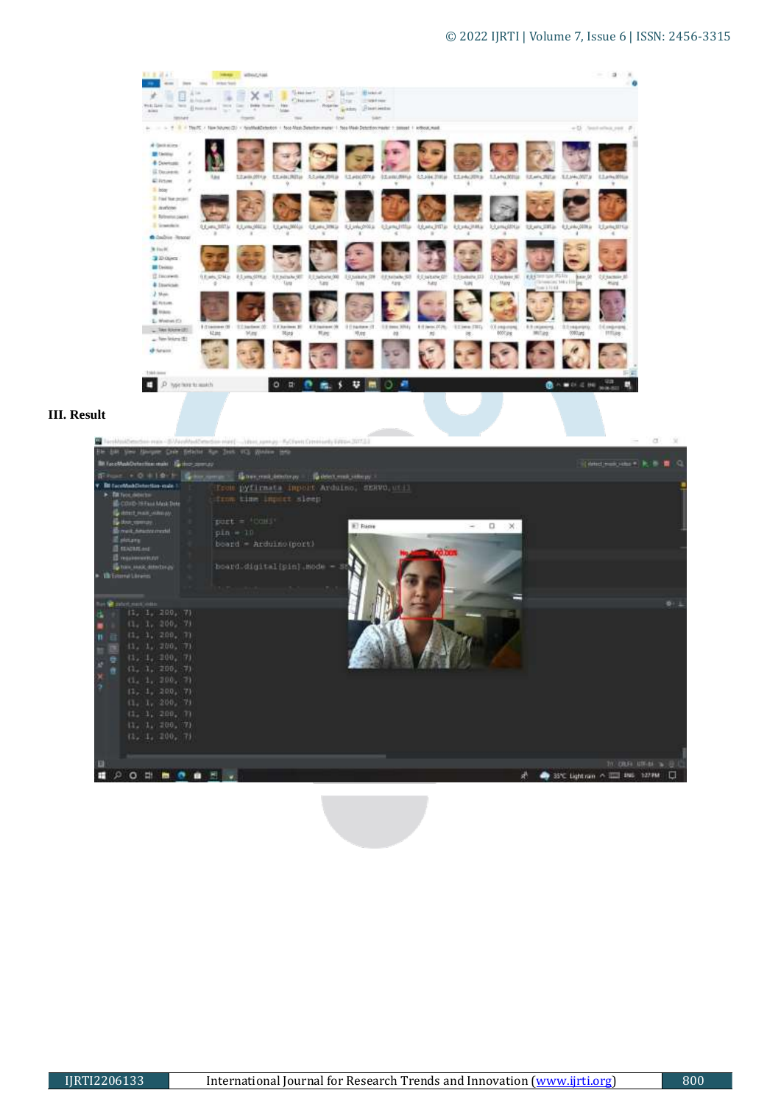| <b>PIA GAS CALL</b><br>Tarried B<br>Arrest<br><b>SELLAN</b><br>$-7$<br>■■                                                                 | territ.<br>El transmission<br><b>SERVICE</b><br>Thy PC / New NAune: (2) - furstNaM2etexton - food-Nash Behrifon: maner -1. Sea Meel-Detection: mayer 1 : present -1 and out, meel | <b>Finite</b><br><b>Carry</b><br><b>Strategies</b><br><b>Sec.</b> | <b>Silker</b>                  | Properties                           | (Flash Jestin)<br>arking |                                   |                                  |                                  |                                   |                                                               |                       | $\alpha\in\mathbb{N}$ . See it will not past |
|-------------------------------------------------------------------------------------------------------------------------------------------|-----------------------------------------------------------------------------------------------------------------------------------------------------------------------------------|-------------------------------------------------------------------|--------------------------------|--------------------------------------|--------------------------|-----------------------------------|----------------------------------|----------------------------------|-----------------------------------|---------------------------------------------------------------|-----------------------|----------------------------------------------|
| # Geot occurs<br><b>DE Cardinal</b><br><b># Dowrigan</b><br>II buyen<br><b>El licture</b><br>÷                                            | <b><i><u>Law</u></i></b>                                                                                                                                                          | S.D.Willison/RFFUJA                                               | <b>EEAHLRITIA</b><br>u         | 53.46KJ96J3                          | <b>ILLANGOTA</b>         | 0.5.000.00Hz<br>×                 | 0.3.494.319199                   | ELIMORRA                         | 1.1.amu.2021a                     | <b>ULerczNI</b> a                                             | S.C.HAUREZ            | E.S.arha.000List                             |
| $= 560$<br>$\overline{z}$<br>T Fed Telegrope)<br>Il avvitable<br><b>I</b> Reference plann I<br>3. Scrandeler<br><b>B</b> Coultra - Hospy) | 0.6 pers. 9373p.<br>$\rightarrow$                                                                                                                                                 | IULINIUMESI<br>$\overline{1}$                                     | <b>ULunuJMA</b><br>$\alpha$    | UUHUMU<br>$\sim$                     | <b>IU WADWA</b>          | <b>CLAIN/ITTILE</b><br>si.        | UUANJTETai                       | ECHUMA                           | <b>Litumutatio</b>                | 13, en città:                                                 | <b>UUM/ATM</b>        | <b>Uprigittia</b>                            |
| 9.144K<br>$2000$ ecu<br><b>E</b> Cassaur<br>E liscoven<br>& Isurican                                                                      |                                                                                                                                                                                   | 13.46 EHz ELMARKE EDINAUE                                         | Uzu                            | 3.5 Janksener, 998<br>tas            | 13 Suite Ford<br>7cmd    | ECADAM ST ECARATICS<br><b>Agg</b> | hatta                            | 2,5 pellutte, (33)<br><b>hat</b> | O.E. Swellower, NY<br><b>Hard</b> | <b>KASTER SINC PUTTER</b><br>(Drivenia) 141110 lag<br>$-1148$ | Busin, SP             | Of bactuin 80<br>Atlant                      |
| $2$ Mon-<br><b>AC FUELITE</b><br><b>E</b> Van<br>E. Wolnes (S)<br>Take Alkme (B)                                                          | 8-2 lease (8)<br>42.9td                                                                                                                                                           | 0.0 lackers 30<br>May                                             | 11 Elizabeth 31<br><b>Ridd</b> | ET traviane: (6)<br>$H_{\text{JPI}}$ | If I hadden (T)<br>10.01 | 1 E dopou 3014 L<br>it)           | 8 H (wood 27.2%)<br>$\mathbb{N}$ | <b>STORE FRID</b><br>薄           | 10 Jaguard<br>0007,045            | 8.9 rationwired<br>Millied.                                   | 331444900.<br>030.inc | 5 Cangegna<br><b>ITTIas</b>                  |
| a. New Selence (B)<br><b>ID Service</b>                                                                                                   |                                                                                                                                                                                   |                                                                   |                                |                                      |                          |                                   |                                  |                                  |                                   |                                                               |                       |                                              |

# **III. Result**

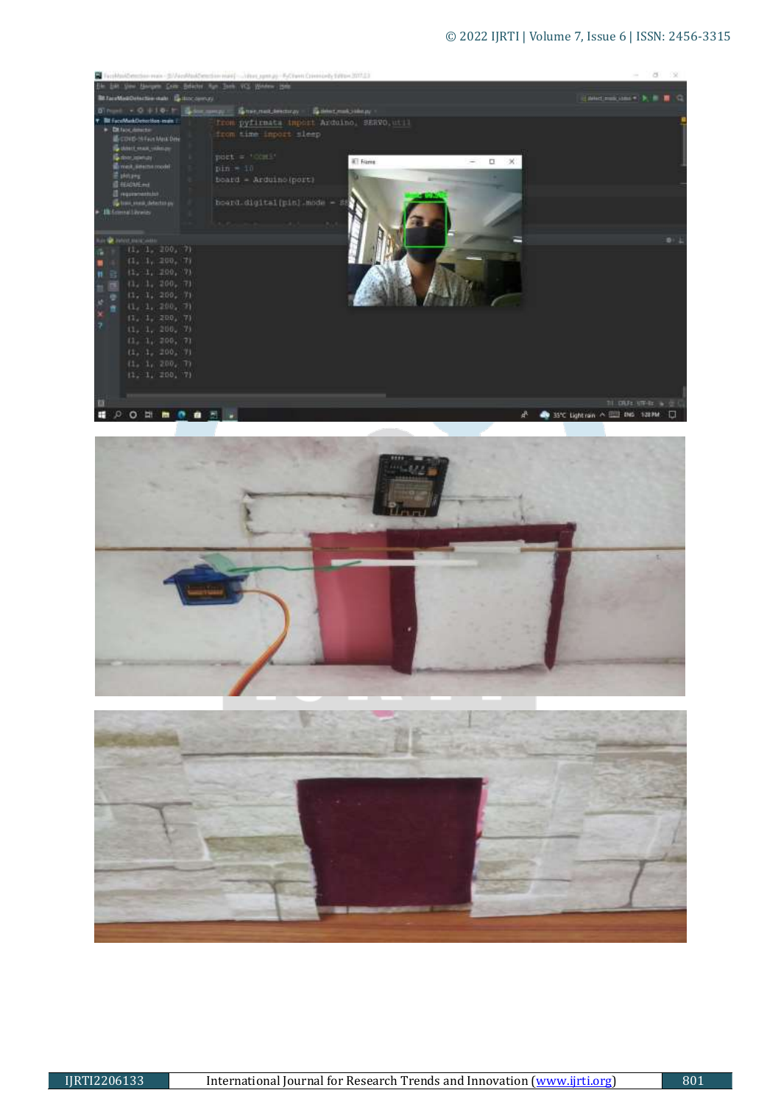